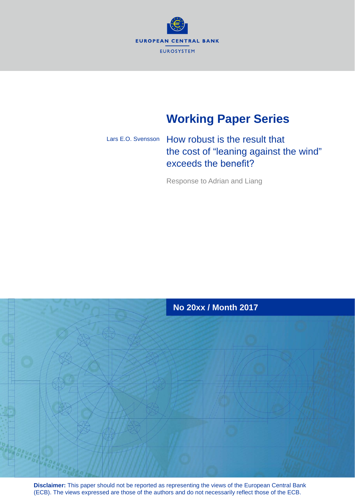

# **Working Paper Series**

# How robust is the result that the cost of "leaning against the wind" exceeds the benefit? Lars E.O. Svensson

Response to Adrian and Liang



**Disclaimer:** This paper should not be reported as representing the views of the European Central Bank (ECB). The views expressed are those of the authors and do not necessarily reflect those of the ECB.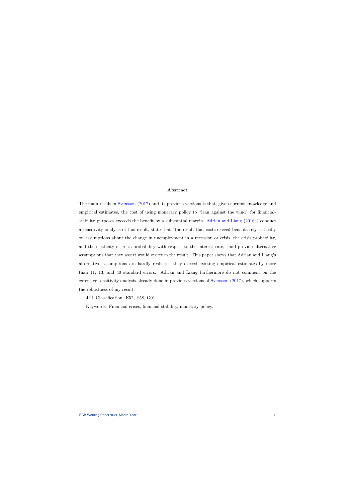### Abstract

The main result in [Svensson](#page-27-0) [\(2017\)](#page-27-0) and its previous versions is that, given current knowledge and empirical estimates, the cost of using monetary policy to "lean against the wind" for financialstability purposes exceeds the benefit by a substantial margin. [Adrian and Liang](#page-25-0) [\(2016a\)](#page-25-0) conduct a sensitivity analysis of this result, state that "the result that costs exceed benefits rely critically on assumptions about the change in unemployment in a recession or crisis, the crisis probability, and the elasticity of crisis probability with respect to the interest rate," and provide alternative assumptions that they assert would overturn the result. This paper shows that Adrian and Liang's alternative assumptions are hardly realistic: they exceed existing empirical estimates by more than 11, 13, and 40 standard errors. Adrian and Liang furthermore do not comment on the extensive sensitivity analysis already done in previous versions of [Svensson](#page-27-0) [\(2017\)](#page-27-0), which supports the robustness of my result.

JEL Classification: E52, E58, G01

Keywords: Financial crises, financial stability, monetary policy.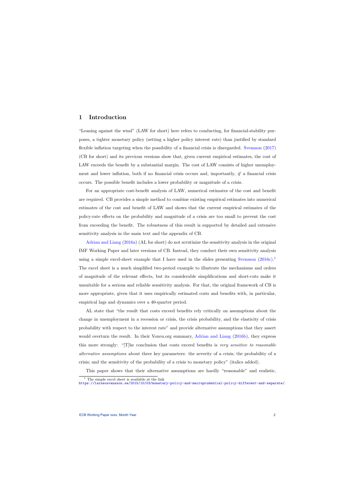# 1 Introduction

"Leaning against the wind" (LAW for short) here refers to conducting, for financial-stability purposes, a tighter monetary policy (setting a higher policy interest rate) than justified by standard flexible inflation targeting when the possibility of a financial crisis is disregarded. [Svensson](#page-27-0) [\(2017\)](#page-27-0) (CB for short) and its previous versions show that, given current empirical estimates, the cost of LAW exceeds the benefit by a substantial margin. The cost of LAW consists of higher unemployment and lower inflation, both if no financial crisis occurs and, importantly, if a financial crisis occurs. The possible benefit includes a lower probability or magnitude of a crisis.

For an appropriate cost-benefit analysis of LAW, numerical estimates of the cost and benefit are required. CB provides a simple method to combine existing empirical estimates into numerical estimates of the cost and benefit of LAW and shows that the current empirical estimates of the policy-rate effects on the probability and magnitude of a crisis are too small to prevent the cost from exceeding the benefit. The robustness of this result is supported by detailed and extensive sensitivity analysis in the main text and the appendix of CB.

[Adrian and Liang](#page-25-0) [\(2016a\)](#page-25-0) (AL for short) do not scrutinize the sensitivity analysis in the original IMF Working Paper and later versions of CB. Instead, they conduct their own sensitivity analysis using a simple excel-sheet example that I have used in the slides presenting [Svensson](#page-27-1)  $(2016c)^{1}$  $(2016c)^{1}$  $(2016c)^{1}$  $(2016c)^{1}$ The excel sheet is a much simplified two-period example to illustrate the mechanisms and orders of magnitude of the relevant effects, but its considerable simplifications and short-cuts make it unsuitable for a serious and reliable sensitivity analysis. For that, the original framework of CB is more appropriate, given that it uses empirically estimated costs and benefits with, in particular, empirical lags and dynamics over a 40-quarter period.

AL state that "the result that costs exceed benefits rely critically on assumptions about the change in unemployment in a recession or crisis, the crisis probability, and the elasticity of crisis probability with respect to the interest rate" and provide alternative assumptions that they assert would overturn the result. In their Voxeu.org summary, [Adrian and Liang](#page-25-1) [\(2016b\)](#page-25-1), they express this more strongly: "[T]he conclusion that costs exceed benefits is very sensitive to reasonable alternative assumptions about three key parameters: the severity of a crisis; the probability of a crisis; and the sensitivity of the probability of a crisis to monetary policy" (italics added).

This paper shows that their alternative assumptions are hardly "reasonable" and realistic,

 $^{\rm 1}$  The simple excel sheet is available at the link

<span id="page-2-0"></span><https://larseosvensson.se/2015/10/03/monetary-policy-and-macroprudential-policy-different-and-separate/>.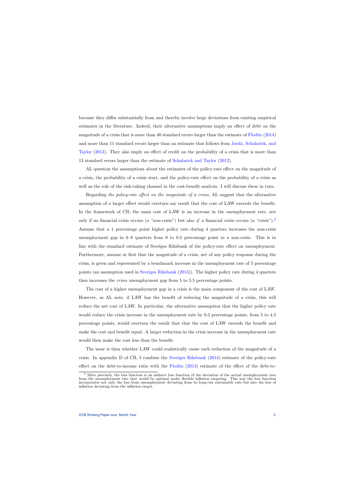because they differ substantially from and thereby involve large deviations from existing empirical estimates in the literature. Indeed, their alternative assumptions imply an effect of debt on the magnitude of a crisis that is more than 40 standard errors larger than the estimate of  $F$ lodén  $(2014)$ and more than 11 standard errors larger than an estimate that follows from Jordà, Schularick, and [Taylor](#page-26-1) [\(2013\)](#page-26-1). They also imply an effect of credit on the probability of a crisis that is more than 13 standard errors larger than the estimate of [Schularick and Taylor](#page-26-2) [\(2012\)](#page-26-2).

AL question the assumptions about the estimates of the policy-rate effect on the magnitude of a crisis, the probability of a crisis start, and the policy-rate effect on the probability of a crisis as well as the role of the risk-taking channel in the cost-benefit analysis. I will discuss these in turn.

Regarding the policy-rate effect on the magnitude of a crisis, AL suggest that the alternative assumption of a larger effect would overturn my result that the cost of LAW exceeds the benefit. In the framework of CB, the main cost of LAW is an increase in the unemployment rate, not only if no financial crisis occurs (a "non-crisis") but also if a financial crisis occurs (a "crisis").<sup>[2](#page-3-0)</sup> Assume that a 1 percentage point higher policy rate during 4 quarters increases the non-crisis unemployment gap in 6–8 quarters from 0 to 0.5 percentage point in a non-crisis. This is in line with the standard estimate of Sveriges Riksbank of the policy-rate effect on unemployment. Furthermore, assume at first that the magnitude of a crisis, net of any policy response during the crisis, is given and represented by a benchmark increase in the unemployment rate of 5 percentage points (an assumption used in [Sveriges Riksbank](#page-27-2) [\(2013\)](#page-27-2)). The higher policy rate during 4 quarters then increases the crisis unemployment gap from 5 to 5.5 percentage points.

The cost of a higher unemployment gap in a crisis is the main component of the cost of LAW. However, as AL note, if LAW has the benefit of reducing the magnitude of a crisis, this will reduce the net cost of LAW. In particular, the alternative assumption that the higher policy rate would reduce the crisis increase in the unemployment rate by 0.5 percentage points, from 5 to 4.5 percentage points, would overturn the result that that the cost of LAW exceeds the benefit and make the cost and benefit equal. A larger reduction in the crisis increase in the unemployment rate would then make the cost less than the benefit.

The issue is then whether LAW could realistically cause such reduction of the magnitude of a crisis. In appendix D of CB, I combine the [Sveriges Riksbank](#page-27-3) [\(2014\)](#page-27-3) estimate of the policy-rate effect on the debt-to-income ratio with the Flodén  $(2014)$  estimate of the effect of the debt-to-

<span id="page-3-0"></span><sup>&</sup>lt;sup>2</sup> More precisely, the loss function is an indirect loss function of the deviation of the actual unemployment rate from the unemployment rate that would be optimal under flexible inflation targeting. This way the loss function incorporates not only the loss from unemployment deviating from its long-run sustainable rate but also the loss of inflation deviating from the inflation target.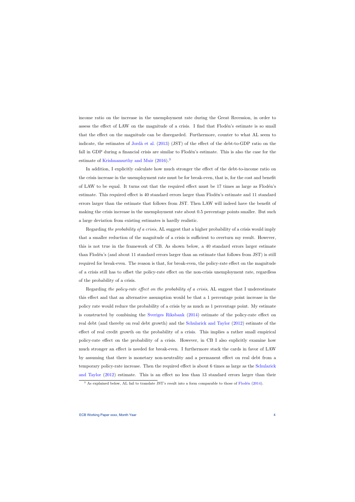income ratio on the increase in the unemployment rate during the Great Recession, in order to assess the effect of LAW on the magnitude of a crisis. I find that Flodén's estimate is so small that the effect on the magnitude can be disregarded. Furthermore, counter to what AL seem to indicate, the estimates of Jordà et al.  $(2013)$  (JST) of the effect of the debt-to-GDP ratio on the fall in GDP during a financial crisis are similar to Flodén's estimate. This is also the case for the estimate of [Krishnamurthy and Muir](#page-26-3) [\(2016\)](#page-26-3).<sup>[3](#page-4-0)</sup>

In addition, I explicitly calculate how much stronger the effect of the debt-to-income ratio on the crisis increase in the unemployment rate must be for break-even, that is, for the cost and benefit of LAW to be equal. It turns out that the required effect must be  $17$  times as large as Flodén's estimate. This required effect is 40 standard errors larger than Flodén's estimate and 11 standard errors larger than the estimate that follows from JST. Then LAW will indeed have the benefit of making the crisis increase in the unemployment rate about 0.5 percentage points smaller. But such a large deviation from existing estimates is hardly realistic.

Regarding the probability of a crisis, AL suggest that a higher probability of a crisis would imply that a smaller reduction of the magnitude of a crisis is sufficient to overturn my result. However, this is not true in the framework of CB. As shown below, a 40 standard errors larger estimate than Flodén's (and about 11 standard errors larger than an estimate that follows from JST) is still required for break-even. The reason is that, for break-even, the policy-rate effect on the magnitude of a crisis still has to offset the policy-rate effect on the non-crisis unemployment rate, regardless of the probability of a crisis.

Regarding the policy-rate effect on the probability of a crisis, AL suggest that I underestimate this effect and that an alternative assumption would be that a 1 percentage point increase in the policy rate would reduce the probability of a crisis by as much as 1 percentage point. My estimate is constructed by combining the [Sveriges Riksbank](#page-27-3) [\(2014\)](#page-27-3) estimate of the policy-rate effect on real debt (and thereby on real debt growth) and the [Schularick and Taylor](#page-26-2) [\(2012\)](#page-26-2) estimate of the effect of real credit growth on the probability of a crisis. This implies a rather small empirical policy-rate effect on the probability of a crisis. However, in CB I also explicitly examine how much stronger an effect is needed for break-even. I furthermore stack the cards in favor of LAW by assuming that there is monetary non-neutrality and a permanent effect on real debt from a temporary policy-rate increase. Then the required effect is about 6 times as large as the [Schularick](#page-26-2) [and Taylor](#page-26-2) [\(2012\)](#page-26-2) estimate. This is an effect no less than 13 standard errors larger than their

<span id="page-4-0"></span> $3$  As explained below, AL fail to translate JST's result into a form comparable to those of Flodén [\(2014\)](#page-26-0).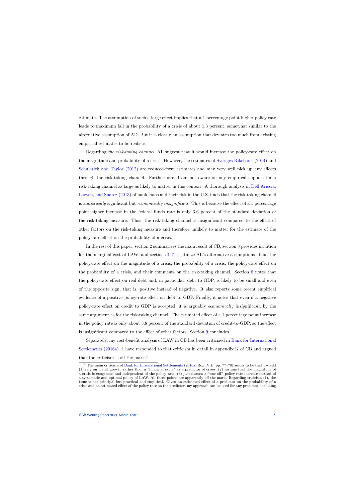estimate. The assumption of such a large effect implies that a 1 percentage point higher policy rate leads to maximum fall in the probability of a crisis of about 1.3 percent, somewhat similar to the alternative assumption of AD. But it is clearly an assumption that deviates too much from existing empirical estimates to be realistic.

Regarding the risk-taking channel, AL suggest that it would increase the policy-rate effect on the magnitude and probability of a crisis. However, the estimates of [Sveriges Riksbank](#page-27-3) [\(2014\)](#page-27-3) and [Schularick and Taylor](#page-26-2) [\(2012\)](#page-26-2) are reduced-form estimates and may very well pick up any effects through the risk-taking channel. Furthermore, I am not aware on any empirical support for a risk-taking channel as large as likely to matter in this context. A thorough analysis in [Dell'Ariccia,](#page-25-2) [Laeven, and Suarez](#page-25-2) [\(2013\)](#page-25-2) of bank loans and their risk in the U.S. finds that the risk-taking channel is *statistically* significant but *economically insignificant*. This is because the effect of a 1 percentage point higher increase in the federal funds rate is only 3.6 percent of the standard deviation of the risk-taking measure. Thus, the risk-taking channel is insignificant compared to the effect of other factors on the risk-taking measure and therefore unlikely to matter for the estimate of the policy-rate effect on the probability of a crisis.

In the rest of this paper, section [2](#page-6-0) summarizes the main result of CB, section [3](#page-10-0) provides intuition for the marginal cost of LAW, and sections [4](#page-11-0)[–7](#page-21-0) scrutinize AL's alternative assumptions about the policy-rate effect on the magnitude of a crisis, the probability of a crisis, the policy-rate effect on the probability of a crisis, and their comments on the risk-taking channel. Section [8](#page-22-0) notes that the policy-rate effect on real debt and, in particular, debt to GDP, is likely to be small and even of the opposite sign, that is, positive instead of negative. It also reports some recent empirical evidence of a positive policy-rate effect on debt to GDP. Finally, it notes that even if a negative policy-rate effect on credit to GDP is accepted, it is arguably economically insignificant, by the same argument as for the risk-taking channel. The estimated effect of a 1 percentage point increase in the policy rate is only about 3.8 percent of the standard deviation of credit-to-GDP, so the effect is insignificant compared to the effect of other factors. Section [9](#page-24-0) concludes.

Separately, my cost-benefit analysis of LAW in CB has been criticized in [Bank for International](#page-25-3) [Settlements](#page-25-3) [\(2016a\)](#page-25-3). I have responded to that criticism in detail in appendix K of CB and argued that the criticism is off the mark.<sup>[4](#page-5-0)</sup>

<span id="page-5-0"></span><sup>&</sup>lt;sup>4</sup> The main criticism of Bank for [International Settlements](#page-25-3) [\(2016a,](#page-25-3) Box IV.B, pp. 77-78) seems to be that I would (1) rely on credit growth rather than a "financial cycle" as a predictor of crises, (2) assume that the magnitude of a crisis is exogenous and independent of the policy rate, (3) just discuss a "one-off" policy-rate increase instead of a systematic and optimal policy of LAW. All three points are apparently off the mark. Regarding criticism (1), the issue is not principal but practical and empirical. Given an estimated effect of a predictor on the probability of a crisis and an estimated effect of the policy rate on the predictor, my approach can be used for any predictor, including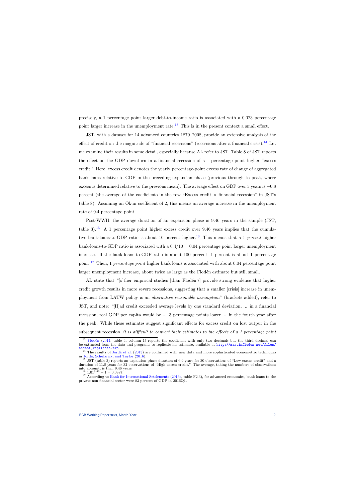precisely, a 1 percentage point larger debt-to-income ratio is associated with a 0.023 percentage point larger increase in the unemployment rate. $^{13}$  $^{13}$  $^{13}$  This is in the present context a small effect.

JST, with a dataset for 14 advanced countries 1870–2008, provide an extensive analysis of the effect of credit on the magnitude of "financial recessions" (recessions after a financial crisis).<sup>[14](#page-12-1)</sup> Let me examine their results in some detail, especially because AL refer to JST. Table 8 of JST reports the effect on the GDP downturn in a financial recession of a 1 percentage point higher "excess credit." Here, excess credit denotes the yearly percentage-point excess rate of change of aggregated bank loans relative to GDP in the preceding expansion phase (previous through to peak, where excess is determined relative to the previous mean). The average effect on GDP over 5 years is −0.8 percent (the average of the coefficients in the row "Excess credit  $\times$  financial recession" in JST's table 8). Assuming an Okun coefficient of 2, this means an average increase in the unemployment rate of 0.4 percentage point.

Post-WWII, the average duration of an expansion phase is 9.46 years in the sample (JST, table 3).<sup>[15](#page-12-2)</sup> A 1 percentage point higher excess credit over 9.46 years implies that the cumula-tive bank-loans-to-GDP ratio is about 10 percent higher.<sup>[16](#page-12-3)</sup> This means that a 1 *percent* higher bank-loans-to-GDP ratio is associated with a  $0.4/10 = 0.04$  percentage point larger unemployment increase. If the bank-loans-to-GDP ratio is about 100 percent, 1 percent is about 1 percentage point.<sup>[17](#page-12-4)</sup> Then, 1 percentage point higher bank loans is associated with about 0.04 percentage point larger unemployment increase, about twice as large as the Flodén estimate but still small.

AL state that "[o]ther empirical studies [than Flodén's] provide strong evidence that higher credit growth results in more severe recessions, suggesting that a smaller [crisis] increase in unemployment from LATW policy is an alternative reasonable assumption" (brackets added), refer to JST, and note: "[H]ad credit exceeded average levels by one standard deviation, ... in a financial recession, real GDP per capita would be ... 3 percentage points lower ... in the fourth year after the peak. While these estimates suggest significant effects for excess credit on lost output in the subsequent recession, it is difficult to convert their estimates to the effects of a 1 percentage point

<sup>&</sup>lt;sup>13</sup> Flodén [\(2014,](#page-26-0) table 4, column 1) reports the coefficient with only two decimals but the third decimal can be extracted from the data and programs to replicate his estimate, available at [http://martinfloden.net/files/](http://martinfloden.net/files/hhdebt_replicate.zip) [hhdebt\\_replicate.zip](http://martinfloden.net/files/hhdebt_replicate.zip).

<sup>&</sup>lt;sup>14</sup> The results of Jordà et al. [\(2013\)](#page-26-1) are confirmed with new data and more sophisticated econometric techniques in Jordà, Schularick, and Taylor [\(2016\)](#page-26-4).

<sup>&</sup>lt;sup>15</sup> JST (table 3) reports an expansion-phase duration of 6.9 years for 30 observations of "Low excess credit" and a duration of 11.8 years for 32 observations of "High excess credit." The average, taking the numbers of observations into account, is then 9.46 years

 $16 \text{ } 1.01\overline{9.46} - 1 = 0.0987.$ 

<span id="page-12-4"></span><span id="page-12-3"></span><span id="page-12-2"></span><span id="page-12-1"></span><span id="page-12-0"></span> $17$  According to [Bank for International Settlements](#page-25-4) [\(2016c,](#page-25-4) table F2.3), for advanced economies, bank loans to the private non-financial sector were 83 percent of GDP in 2016Q1.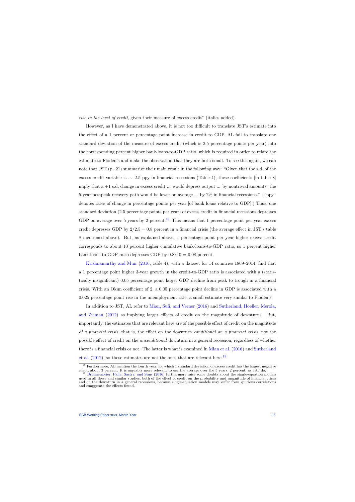rise in the level of credit, given their measure of excess credit" (italics added).

However, as I have demonstrated above, it is not too difficult to translate JST's estimate into the effect of a 1 percent or percentage point increase in credit to GDP. AL fail to translate one standard deviation of the measure of excess credit (which is 2.5 percentage points per year) into the corresponding percent higher bank-loans-to-GDP ratio, which is required in order to relate the estimate to Flodén's and make the observation that they are both small. To see this again, we can note that JST (p. 21) summarize their main result in the following way: "Given that the s.d. of the excess credit variable is ... 2.5 ppy in financial recessions (Table 4), these coefficients [in table 8] imply that a +1 s.d. change in excess credit ... would depress output ... by nontrivial amounts: the 5-year postpeak recovery path would be lower on average ... by 2% in financial recessions." ("ppy" denotes rates of change in percentage points per year [of bank loans relative to GDP].) Thus, one standard deviation (2.5 percentage points per year) of excess credit in financial recessions depresses GDP on average over 5 years by 2 percent.<sup>[18](#page-13-0)</sup> This means that 1 percentage point per year excess credit depresses GDP by  $2/2.5 = 0.8$  percent in a financial crisis (the average effect in JST's table 8 mentioned above). But, as explained above, 1 percentage point per year higher excess credit corresponds to about 10 percent higher cumulative bank-loans-to-GDP ratio, so 1 percent higher bank-loans-to-GDP ratio depresses GDP by  $0.8/10 = 0.08$  percent.

[Krishnamurthy and Muir](#page-26-3) [\(2016,](#page-26-3) table 4), with a dataset for 14 countries 1869–2014, find that a 1 percentage point higher 3-year growth in the credit-to-GDP ratio is associated with a (statistically insignificant) 0.05 percentage point larger GDP decline from peak to trough in a financial crisis. With an Okun coefficient of 2, a 0.05 percentage point decline in GDP is associated with a 0.025 percentage point rise in the unemployment rate, a small estimate very similar to Flodén's.

In addition to JST, AL refer to [Mian, Sufi, and Verner](#page-26-5) [\(2016\)](#page-26-5) and [Sutherland, Hoeller, Merola,](#page-27-4) [and Zieman](#page-27-4) [\(2012\)](#page-27-4) as implying larger effects of credit on the magnitude of downturns. But, importantly, the estimates that are relevant here are of the possible effect of credit on the magnitude of a financial crisis, that is, the effect on the downturn conditional on a financial crisis, not the possible effect of credit on the unconditional downturn in a general recession, regardless of whether there is a financial crisis or not. The latter is what is examined in [Mian et al.](#page-26-5) [\(2016\)](#page-26-5) and [Sutherland](#page-27-4) [et al.](#page-27-4)  $(2012)$ , so those estimates are not the ones that are relevant here.<sup>[19](#page-13-1)</sup>

<sup>&</sup>lt;sup>18</sup> Furthermore, AL mention the fourth year, for which 1 standard deviation of excess credit has the largest negative effect, about 3 percent. It is arguably more relevant to use the average over the 5 years, 2 percent, as JST do.

<span id="page-13-1"></span><span id="page-13-0"></span><sup>&</sup>lt;sup>19</sup> [Brunnermeier, Palia, Sastry, and Sims](#page-25-5) [\(2016\)](#page-25-5) furthermore raise some doubts about the single-equation models used in all these and similar studies, both of the effect of credit on the probability and magnitude of financial crises and on the downturn in a general recessions, because single-equation models may suffer from spurious correlations and exaggerate the effects found.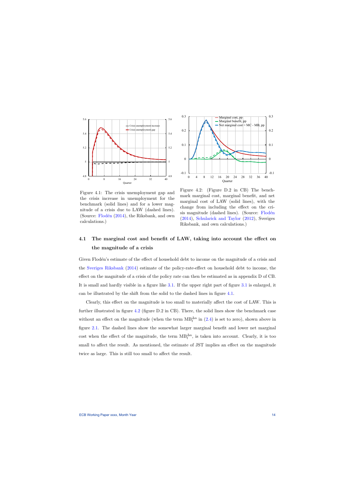

<span id="page-14-0"></span>Figure 4.1: The crisis unemployment gap and the crisis increase in unemployment for the benchmark (solid lines) and for a lower magnitude of a crisis due to LAW (dashed lines). (Source:  $Flodén$  [\(2014\)](#page-26-0), the Riksbank, and own calculations.)



Figure 4.2: (Figure D.2 in CB) The benchmark marginal cost, marginal benefit, and net marginal cost of LAW (solid lines), with the change from including the effect on the crisis magnitude (dashed lines). (Source: Flodén [\(2014\)](#page-26-0), [Schularick and Taylor](#page-26-2) [\(2012\)](#page-26-2), Sveriges Riksbank, and own calculations.)

# 4.1 The marginal cost and benefit of LAW, taking into account the effect on the magnitude of a crisis

Given Floden's estimate of the effect of household debt to income on the magnitude of a crisis and the [Sveriges Riksbank](#page-27-3) [\(2014\)](#page-27-3) estimate of the policy-rate-effect on household debt to income, the effect on the magnitude of a crisis of the policy rate can then be estimated as in appendix D of CB. It is small and hardly visible in a figure like [3.1.](#page-10-1) If the upper right part of figure [3.1](#page-10-1) is enlarged, it can be illustrated by the shift from the solid to the dashed lines in figure [4.1.](#page-14-0)

Clearly, this effect on the magnitude is too small to materially affect the cost of LAW. This is further illustrated in figure [4.2](#page-14-0) (figure D.2 in CB). There, the solid lines show the benchmark case without an effect on the magnitude (when the term  $MB_t^{\Delta u}$  in [\(2.4\)](#page-8-0) is set to zero), shown above in figure [2.1.](#page-9-0) The dashed lines show the somewhat larger marginal benefit and lower net marginal cost when the effect of the magnitude, the term  $MB_t^{\Delta u}$ , is taken into account. Clearly, it is too small to affect the result. As mentioned, the estimate of JST implies an effect on the magnitude twice as large. This is still too small to affect the result.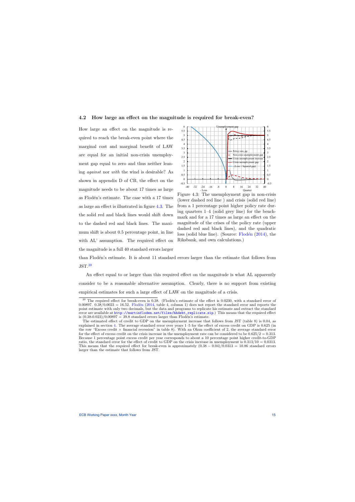### 4.2 How large an effect on the magnitude is required for break-even?

How large an effect on the magnitude is required to reach the break-even point where the marginal cost and marginal benefit of LAW are equal for an initial non-crisis unemployment gap equal to zero and thus neither leaning against nor with the wind is desirable? As shown in appendix D of CB, the effect on the magnitude needs to be about 17 times as large as Flodén's estimate. The case with a 17 times as large an effect is illustrated in figure [4.3.](#page-15-0) The the solid red and black lines would shift down to the dashed red and black lines. The maximum shift is about 0.5 percentage point, in line with AL' assumption. The required effect on the magnitude is a full 40 standard errors larger



<span id="page-15-0"></span>Figure 4.3: The unemployment gap in non-crisis (lower dashed red line ) and crisis (solid red line) from a 1 percentage point higher policy rate during quarters 1–4 (solid grey line) for the benchmark and for a 17 times as large an effect on the magnitude of the crises of the policy rate (upper dashed red and black lines), and the quadratic loss (solid blue line). (Source:  $F$ lodén [\(2014\)](#page-26-0), the Riksbank, and own calculations.)

than Flodén's estimate. It is about 11 standard errors larger than the estimate that follows from JST.[20](#page-15-1)

An effect equal to or larger than this required effect on the magnitude is what AL apparently consider to be a reasonable alternative assumption. Clearly, there is no support from existing empirical estimates for such a large effect of LAW on the magnitude of a crisis.

 $20$  The required effect for break-even is 0.38. (Flodén's estimate of the effect is 0.0230, with a standard error of 0.00897.  $0.38/0.0023 = 16.52$ . Flodén [\(2014,](#page-26-0) table 4, column 1) does not report the standard error and reports the point estimate with only two decimals, but the data and programs to replicate his estimate and extract the standard error are available at [http://martinfloden.net/files/hhdebt\\_replicate.zip](http://martinfloden.net/files/hhdebt_replicate.zip).) This means that the required effect is  $(0.38-0.023)/0.00897 = 39.8$  standard errors larger than Flodén's estimate.

<span id="page-15-1"></span>The estimated effect of credit to GDP on the unemployment increase that follows from JST (table 8) is 0.04, as explained in section [4.](#page-11-0) The average standard error over years 1–5 for the effect of excess credit on GDP is 0.625 (in the row "Excess credit  $\times$  financial recession" in table 8). With an Okun coefficient of 2, the average standard error for the effect of excess credit on the crisis increase in the unemployment rate can be considered to be  $0.625/2 = 0.313$ . Because 1 percentage point excess credit per year corresponds to about a 10 percentage point higher credit-to-GDP ratio, the standard error for the effect of credit to GDP on the crisis increase in unemployment is 0.313/10 = 0.0313. This means that the required effect for break-even is approximately  $(0.38 - 0.04)/0.0313 = 10.86$  standard errors larger than the estimate that follows from JST.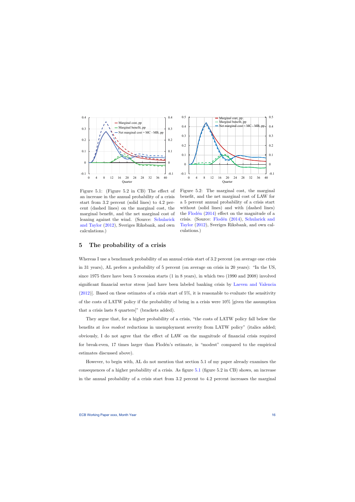

<span id="page-16-0"></span>Figure 5.1: (Figure 5.2 in CB) The effect of an increase in the annual probability of a crisis start from 3.2 percent (solid lines) to 4.2 percent (dashed lines) on the marginal cost, the marginal benefit, and the net marginal cost of leaning against the wind. (Source: [Schularick](#page-26-2) [and Taylor](#page-26-2) [\(2012\)](#page-26-2), Sveriges Riksbank, and own calculations.)



Figure 5.2: The marginal cost, the marginal benefit, and the net marginal cost of LAW for a 5 percent annual probability of a crisis start without (solid lines) and with (dashed lines) the Flodén  $(2014)$  effect on the magnitude of a crisis. (Source: Flodén [\(2014\)](#page-26-0), [Schularick and](#page-26-2) [Taylor](#page-26-2) [\(2012\)](#page-26-2), Sveriges Riksbank, and own calculations.)

### 5 The probability of a crisis

Whereas I use a benchmark probability of an annual crisis start of 3.2 percent (on average one crisis in 31 years), AL prefers a probability of 5 percent (on average on crisis in 20 years): "In the US, since 1975 there have been 5 recession starts (1 in 8 years), in which two (1990 and 2008) involved significant financial sector stress [and have been labeled banking crisis by [Laeven and Valencia](#page-26-6)  $(2012)$ . Based on these estimates of a crisis start of 5%, it is reasonable to evaluate the sensitivity of the costs of LATW policy if the probability of being in a crisis were 10% [given the assumption that a crisis lasts 8 quarters]" (brackets added).

They argue that, for a higher probability of a crisis, "the costs of LATW policy fall below the benefits at *less modest* reductions in unemployment severity from LATW policy" (italics added; obviously, I do not agree that the effect of LAW on the magnitude of financial crisis required for break-even, 17 times larger than Flodén's estimate, is "modest" compared to the empirical estimates discussed above).

However, to begin with, AL do not mention that section 5.1 of my paper already examines the consequences of a higher probability of a crisis. As figure [5.1](#page-16-0) (figure 5.2 in CB) shows, an increase in the annual probability of a crisis start from 3.2 percent to 4.2 percent increases the marginal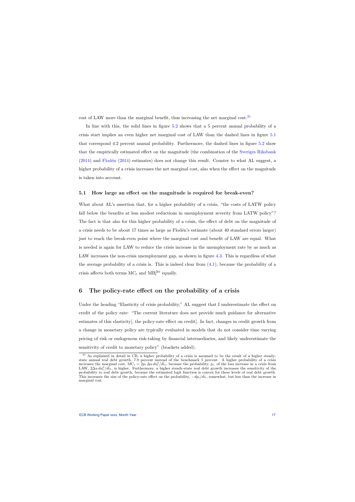cost of LAW more than the marginal benefit, thus increasing the net marginal cost.  $2<sup>1</sup>$ 

In line with this, the solid lines in figure [5.2](#page-16-0) shows that a 5 percent annual probability of a crisis start implies an even higher net marginal cost of LAW than the dashed lines in figure [5.1](#page-16-0) that correspond 4.2 percent annual probability. Furthermore, the dashed lines in figure [5.2](#page-16-0) show that the empirically estimated effect on the magnitude (the combination of the [Sveriges Riksbank](#page-27-3)  $(2014)$  and Flodén  $(2014)$  estimates) does not change this result. Counter to what AL suggest, a higher probability of a crisis increases the net marginal cost, also when the effect on the magnitude is taken into account.

#### 5.1 How large an effect on the magnitude is required for break-even?

What about AL's assertion that, for a higher probability of a crisis, "the costs of LATW policy fall below the benefits at less modest reductions in unemployment severity from LATW policy"? The fact is that also for this higher probability of a crisis, the effect of debt on the magnitude of a crisis needs to be about 17 times as large as Flodén's estimate (about 40 standard errors larger) just to reach the break-even point where the marginal cost and benefit of LAW are equal. What is needed is again for LAW to reduce the crisis increase in the unemployment rate by as much as LAW increases the non-crisis unemployment gap, as shown in figure [4.3.](#page-15-0) This is regardless of what the average probability of a crisis is. This is indeed clear from  $(4.1)$ , because the probability of a crisis affects both terms  $MC_t$  and  $MB_t^{\Delta u}$  equally.

### 6 The policy-rate effect on the probability of a crisis

Under the heading "Elasticity of crisis probability," AL suggest that I underestimate the effect on credit of the policy rate: "The current literature does not provide much guidance for alternative estimates of this elasticity[, the policy-rate effect on credit]. In fact, changes in credit growth from a change in monetary policy are typically evaluated in models that do not consider time varying pricing of risk or endogenous risk-taking by financial intermediaries, and likely underestimate the sensitivity of credit to monetary policy" (brackets added).

<span id="page-17-0"></span> $21$  As explained in detail in CB, a higher probability of a crisis is assumed to be the result of a higher steadystate annual real debt growth, 7.9 percent instead of the benchmark 5 percent. A higher probability of a crisis increases the marginal cost,  $MC_t = 2p_t \Delta u du_t^n / d\bar{i}_1$ , because the probability,  $p_t$ , of the loss increase in a crisis from LAW,  $2\Delta u \, du_t^{\rm n}/d\bar{i}_1$ , is higher. Furthermore, a higher steady-state real debt growth increases the sensitivity of the probability to real debt growth, because the estimated logit function is convex for these levels of real debt growth. This increases the size of the policy-rate effect on the probability,  $-dp_t/d\bar{i}_t$ , somewhat, but less than the increase in marginal cost.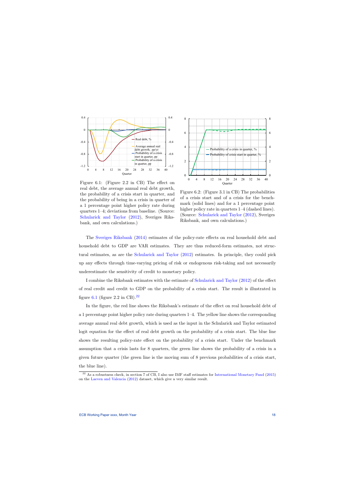

<span id="page-18-0"></span>Figure 6.1: (Figure 2.2 in CB) The effect on real debt, the average annual real debt growth, the probability of a crisis start in quarter, and the probability of being in a crisis in quarter of a 1 percentage point higher policy rate during quarters 1–4; deviations from baseline. (Source: [Schularick and Taylor](#page-26-2) [\(2012\)](#page-26-2), Sveriges Riksbank, and own calculations.)



Figure 6.2: (Figure 3.1 in CB) The probabilities of a crisis start and of a crisis for the benchmark (solid lines) and for a 1 percentage point higher policy rate in quarters  $1-4$  (dashed lines). (Source: [Schularick and Taylor](#page-26-2) [\(2012\)](#page-26-2), Sveriges Riksbank, and own calculations.)

The [Sveriges Riksbank](#page-27-3) [\(2014\)](#page-27-3) estimates of the policy-rate effects on real household debt and household debt to GDP are VAR estimates. They are thus reduced-form estimates, not structural estimates, as are the [Schularick and Taylor](#page-26-2) [\(2012\)](#page-26-2) estimates. In principle, they could pick up any effects through time-varying pricing of risk or endogenous risk-taking and not necessarily underestimate the sensitivity of credit to monetary policy.

I combine the Riksbank estimates with the estimate of [Schularick and Taylor](#page-26-2) [\(2012\)](#page-26-2) of the effect of real credit and credit to GDP on the probability of a crisis start. The result is illustrated in figure [6.1](#page-18-0) (figure 2.2 in CB).<sup>[22](#page-18-1)</sup>

In the figure, the red line shows the Riksbank's estimate of the effect on real household debt of a 1 percentage point higher policy rate during quarters 1–4. The yellow line shows the corresponding average annual real debt growth, which is used as the input in the Schularick and Taylor estimated logit equation for the effect of real debt growth on the probability of a crisis start. The blue line shows the resulting policy-rate effect on the probability of a crisis start. Under the benchmark assumption that a crisis lasts for 8 quarters, the green line shows the probability of a crisis in a given future quarter (the green line is the moving sum of 8 previous probabilities of a crisis start, the blue line).

<span id="page-18-1"></span> $^{22}$  As a robustness check, in section 7 of CB, I also use IMF staff estimates for [International Monetary Fund](#page-26-7) [\(2015\)](#page-26-7) on the [Laeven and Valencia](#page-26-6) [\(2012\)](#page-26-6) dataset, which give a very similar result.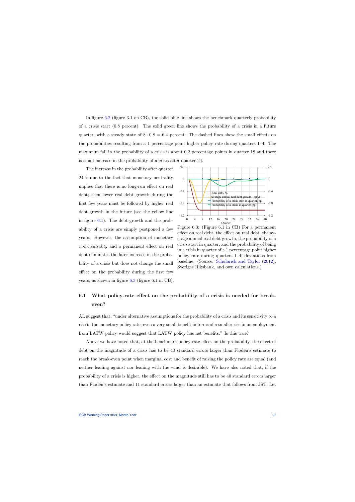In figure [6.2](#page-18-0) (figure 3.1 on CB), the solid blue line shows the benchmark quarterly probability of a crisis start (0.8 percent). The solid green line shows the probability of a crisis in a future quarter, with a steady state of  $8 \cdot 0.8 = 6.4$  percent. The dashed lines show the small effects on the probabilities resulting from a 1 percentage point higher policy rate during quarters 1–4. The maximum fall in the probability of a crisis is about 0.2 percentage points in quarter 18 and there is small increase in the probability of a crisis after quarter 24.

The increase in the probability after quarter 24 is due to the fact that monetary neutrality implies that there is no long-run effect on real debt; then lower real debt growth during the first few years must be followed by higher real debt growth in the future (see the yellow line in figure [6.1\)](#page-18-0). The debt growth and the probability of a crisis are simply postponed a few years. However, the assumption of monetary non-neutrality and a permanent effect on real debt eliminates the later increase in the probability of a crisis but does not change the small effect on the probability during the first few years, as shown in figure [6.3](#page-19-0) (figure 6.1 in CB).



<span id="page-19-0"></span>Figure 6.3: (Figure 6.1 in CB) For a permanent effect on real debt, the effect on real debt, the average annual real debt growth, the probability of a crisis start in quarter, and the probability of being in a crisis in quarter of a 1 percentage point higher policy rate during quarters 1–4; deviations from baseline. (Source: [Schularick and Taylor](#page-26-2) [\(2012\)](#page-26-2), Sveriges Riksbank, and own calculations.)

# 6.1 What policy-rate effect on the probability of a crisis is needed for breakeven?

AL suggest that, "under alternative assumptions for the probability of a crisis and its sensitivity to a rise in the monetary policy rate, even a very small benefit in terms of a smaller rise in unemployment from LATW policy would suggest that LATW policy has net benefits." Is this true?

Above we have noted that, at the benchmark policy-rate effect on the probability, the effect of debt on the magnitude of a crisis has to be 40 standard errors larger than Flodén's estimate to reach the break-even point when marginal cost and benefit of raising the policy rate are equal (and neither leaning against nor leaning with the wind is desirable). We have also noted that, if the probability of a crisis is higher, the effect on the magnitude still has to be 40 standard errors larger than Flodén's estimate and 11 standard errors larger than an estimate that follows from JST. Let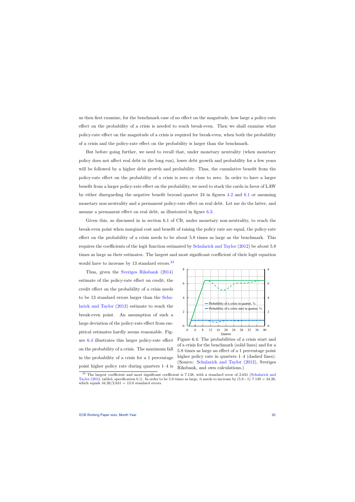us then first examine, for the benchmark case of no effect on the magnitude, how large a policy-rate effect on the probability of a crisis is needed to reach break-even. Then we shall examine what policy-rate effect on the magnitude of a crisis is required for break-even, when both the probability of a crisis and the policy-rate effect on the probability is larger than the benchmark.

But before going further, we need to recall that, under monetary neutrality (when monetary policy does not affect real debt in the long run), lower debt growth and probability for a few years will be followed by a higher debt growth and probability. Thus, the cumulative benefit from the policy-rate effect on the probability of a crisis is zero or close to zero. In order to have a larger benefit from a larger policy-rate effect on the probability, we need to stack the cards in favor of LAW by either disregarding the negative benefit beyond quarter 24 in figures [4.2](#page-14-0) and [6.1](#page-18-0) or assuming monetary non-neutrality and a permanent policy-rate effect on real debt. Let me do the latter, and assume a permanent effect on real debt, as illustrated in figure [6.3.](#page-19-0)

Given this, as discussed in in section 6.1 of CB, under monetary non-neutrality, to reach the break-even point when marginal cost and benefit of raising the policy rate are equal, the policy-rate effect on the probability of a crisis needs to be about 5.8 times as large as the benchmark. This requires the coefficients of the logit function estimated by [Schularick and Taylor](#page-26-2) [\(2012\)](#page-26-2) be about 5.8 times as large as their estimates. The largest and most significant coefficient of their logit equation would have to increase by 13 standard errors.<sup>[23](#page-20-0)</sup>

Thus, given the [Sveriges Riksbank](#page-27-3) [\(2014\)](#page-27-3) estimate of the policy-rate effect on credit, the credit effect on the probability of a crisis needs to be 13 standard errors larger than the [Schu](#page-26-2)[larick and Taylor](#page-26-2) [\(2012\)](#page-26-2) estimate to reach the break-even point. An assumption of such a large deviation of the policy-rate effect from empirical estimates hardly seems reasonable. Figure [6.4](#page-20-1) illustrates this larger policy-rate effect on the probability of a crisis. The maximum fall in the probability of a crisis for a 1 percentage point higher policy rate during quarters 1–4 is



<span id="page-20-1"></span>Figure 6.4: The probabilities of a crisis start and of a crisis for the benchmark (solid lines) and for a 5.8 times as large an effect of a 1 percentage point higher policy rate in quarters  $1-4$  (dashed lines). (Source: [Schularick and Taylor](#page-26-2) [\(2012\)](#page-26-2), Sveriges Riksbank, and own calculations.)

<span id="page-20-0"></span> $^{23}$  The largest coefficient and most significant coefficient is 7.138, with a standard error of 2.631 [\(Schularick and](#page-26-2) [Taylor](#page-26-2) [\(2012,](#page-26-2) table3, specification 6)). In order to be 5.8 times as large, it needs to increase by  $(5.8-1)\cdot7.138 = 34.26$ , which equals  $34.26/2.631 = 13.0$  standard errors.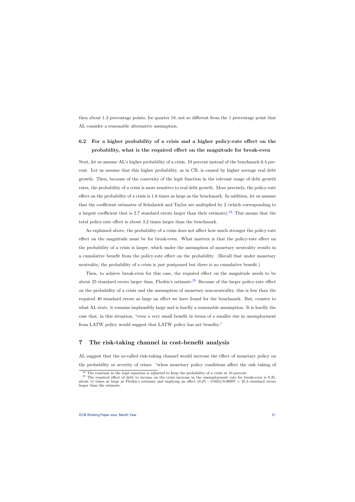then about 1.3 percentage points, for quarter 18, not so different from the 1 percentage point that AL consider a reasonable alternative assumption.

# 6.2 For a higher probability of a crisis and a higher policy-rate effect on the probability, what is the required effect on the magnitude for break-even

Next, let us assume AL's higher probability of a crisis, 10 percent instead of the benchmark 6.4 percent. Let us assume that this higher probability, as in CB, is caused by higher average real debt growth. Then, because of the convexity of the logit function in the relevant range of debt growth rates, the probability of a crisis is more sensitive to real debt growth. More precisely, the policy-rate effect on the probability of a crisis is 1.6 times as large as the benchmark. In addition, let us assume that the coefficient estimates of Schularick and Taylor are multiplied by 2 (which corresponding to a largest coefficient that is 2.7 standard errors larger than their estimate).<sup>[24](#page-21-1)</sup> This means that the total policy-rate effect is about 3.2 times larger than the benchmark.

As explained above, the probability of a crisis does not affect how much stronger the policy-rate effect on the magnitude must be for break-even. What matters is that the policy-rate effect on the probability of a crisis is larger, which under the assumption of monetary neutrality results in a cumulative benefit from the policy-rate effect on the probability. (Recall that under monetary neutrality, the probability of a crisis is just postponed but there is no cumulative benefit.)

Then, to achieve break-even for this case, the required effect on the magnitude needs to be about [25](#page-21-2) standard errors larger than, Flodén's estimate.<sup>25</sup> Because of the larger policy-rate effect on the probability of a crisis and the assumption of monetary non-neutrality, this is less than the required 40 standard errors as large an effect we have found for the benchmark. But, counter to what AL state, it remains implausibly large and is hardly a reasonable assumption. It is hardly the case that, in this situation, "even a very small benefit in terms of a smaller rise in unemployment from LATW policy would suggest that LATW policy has net benefits."

### 7 The risk-taking channel in cost-benefit analysis

AL suggest that the so-called risk-taking channel would increase the effect of monetary policy on the probability or severity of crises: "when monetary policy conditions affect the risk taking of

 $24$  The constant in the logit equation is adjusted to keep the probability of a crisis at 10 percent.

<span id="page-21-2"></span><span id="page-21-1"></span><span id="page-21-0"></span><sup>&</sup>lt;sup>25</sup> The required effect of debt to income on the crisis increase in the unemployment rate for break-even is 0.25, about 11 times as large as Flodén's estimate and implying an effect  $(0.25 - 0.023)/0.00897 = 25.3$  standard errors larger than the estimate.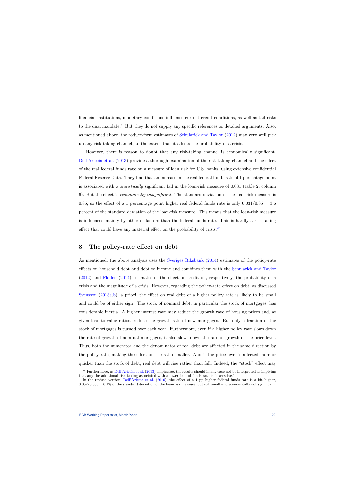financial institutions, monetary conditions influence current credit conditions, as well as tail risks to the dual mandate." But they do not supply any specific references or detailed arguments. Also, as mentioned above, the reduce-form estimates of [Schularick and Taylor](#page-26-2) [\(2012\)](#page-26-2) may very well pick up any risk-taking channel, to the extent that it affects the probability of a crisis.

However, there is reason to doubt that any risk-taking channel is economically significant. [Dell'Ariccia et al.](#page-25-2) [\(2013\)](#page-25-2) provide a thorough examination of the risk-taking channel and the effect of the real federal funds rate on a measure of loan risk for U.S. banks, using extensive confidential Federal Reserve Data. They find that an increase in the real federal funds rate of 1 percentage point is associated with a statistically significant fall in the loan-risk measure of 0.031 (table 2, column 6). But the effect is economically insignificant. The standard deviation of the loan-risk measure is 0.85, so the effect of a 1 percentage point higher real federal funds rate is only  $0.031/0.85 = 3.6$ percent of the standard deviation of the loan-risk measure. This means that the loan-risk measure is influenced mainly by other of factors than the federal funds rate. This is hardly a risk-taking effect that could have any material effect on the probability of crisis.<sup>[26](#page-22-1)</sup>

### 8 The policy-rate effect on debt

As mentioned, the above analysis uses the [Sveriges Riksbank](#page-27-3) [\(2014\)](#page-27-3) estimates of the policy-rate effects on household debt and debt to income and combines them with the [Schularick and Taylor](#page-26-2)  $(2012)$  and Flodén  $(2014)$  estimates of the effect on credit on, respectively, the probability of a crisis and the magnitude of a crisis. However, regarding the policy-rate effect on debt, as discussed [Svensson](#page-27-5) [\(2013a](#page-27-5)[,b\)](#page-27-6), a priori, the effect on real debt of a higher policy rate is likely to be small and could be of either sign. The stock of nominal debt, in particular the stock of mortgages, has considerable inertia. A higher interest rate may reduce the growth rate of housing prices and, at given loan-to-value ratios, reduce the growth rate of new mortgages. But only a fraction of the stock of mortgages is turned over each year. Furthermore, even if a higher policy rate slows down the rate of growth of nominal mortgages, it also slows down the rate of growth of the price level. Thus, both the numerator and the denominator of real debt are affected in the same direction by the policy rate, making the effect on the ratio smaller. And if the price level is affected more or quicker than the stock of debt, real debt will rise rather than fall. Indeed, the "stock" effect may

<span id="page-22-0"></span> $26$  Furthermore, as [Dell'Ariccia et al.](#page-25-2) [\(2013\)](#page-25-2) emphasize, the results should in any case not be interpreted as implying that any the additional risk taking associated with a lower federal funds rate is "excessive."

<span id="page-22-1"></span>In the revised version, [Dell'Ariccia et al.](#page-25-6) [\(2016\)](#page-25-6), the effect of a 1 pp higher federal funds rate is a bit higher,  $0.052/0.085 = 6.1\%$  of the standard deviation of the loan-risk measure, but still small and economically not significant.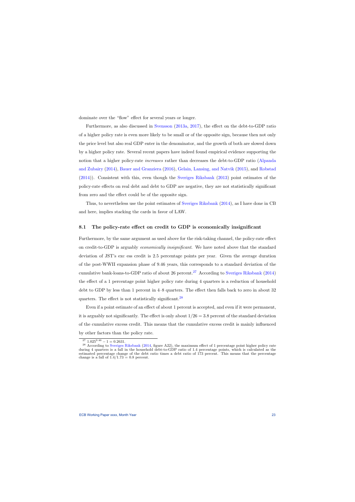dominate over the "flow" effect for several years or longer.

Furthermore, as also discussed in [Svensson](#page-27-5) [\(2013a,](#page-27-5) [2017\)](#page-27-0), the effect on the debt-to-GDP ratio of a higher policy rate is even more likely to be small or of the opposite sign, because then not only the price level but also real GDP enter in the denominator, and the growth of both are slowed down by a higher policy rate. Several recent papers have indeed found empirical evidence supporting the notion that a higher policy-rate *increases* rather than decreases the debt-to-GDP ratio [\(Alpanda](#page-25-7) [and Zubairy](#page-25-7) [\(2014\)](#page-25-7), [Bauer and Granziera](#page-25-8) [\(2016\)](#page-25-8), [Gelain, Lansing, and Natvik](#page-26-8) [\(2015\)](#page-26-8), and [Robstad](#page-26-9) [\(2014\)](#page-26-9)). Consistent with this, even though the [Sveriges Riksbank](#page-27-2) [\(2013\)](#page-27-2) point estimates of the policy-rate effects on real debt and debt to GDP are negative, they are not statistically significant from zero and the effect could be of the opposite sign.

Thus, to nevertheless use the point estimates of [Sveriges Riksbank](#page-27-3) [\(2014\)](#page-27-3), as I have done in CB and here, implies stacking the cards in favor of LAW.

### 8.1 The policy-rate effect on credit to GDP is economically insignificant

Furthermore, by the same argument as used above for the risk-taking channel, the policy-rate effect on credit-to-GDP is arguably economically insignificant. We have noted above that the standard deviation of JST's exc ess credit is 2.5 percentage points per year. Given the average duration of the post-WWII expansion phase of 9.46 years, this corresponds to a standard deviation of the cumulative bank-loans-to-GDP ratio of about 26 percent.<sup>[27](#page-23-0)</sup> According to [Sveriges Riksbank](#page-27-3) [\(2014\)](#page-27-3) the effect of a 1 percentage point higher policy rate during 4 quarters is a reduction of household debt to GDP by less than 1 percent in 4–8 quarters. The effect then falls back to zero in about 32 quarters. The effect is not statistically significant.<sup>[28](#page-23-1)</sup>

Even if a point estimate of an effect of about 1 percent is accepted, and even if it were permanent, it is arguably not significantly. The effect is only about  $1/26 = 3.8$  percent of the standard deviation of the cumulative excess credit. This means that the cumulative excess credit is mainly influenced by other factors than the policy rate.

 $2^7$  1.025<sup>9.46</sup> − 1 = 0.2631.

<span id="page-23-1"></span><span id="page-23-0"></span><sup>&</sup>lt;sup>28</sup> According to [Sveriges Riksbank](#page-27-3) [\(2014,](#page-27-3) figure A22), the maximum effect of 1 percentage point higher policy rate during 4 quarters is a fall in the household debt-to-GDP ratio of 1.4 percentage points, which is calculated as the estimated percentage change of the debt ratio times a debt ratio of 173 percent. This means that the percentage change is a fall of  $1.4/1.73 = 0.8$  percent.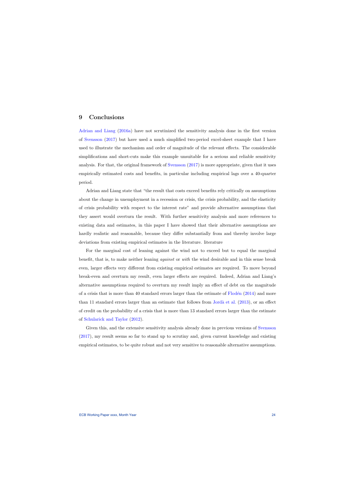## 9 Conclusions

[Adrian and Liang](#page-25-0) [\(2016a\)](#page-25-0) have not scrutinized the sensitivity analysis done in the first version of [Svensson](#page-27-0) [\(2017\)](#page-27-0) but have used a much simplified two-period excel-sheet example that I have used to illustrate the mechanism and order of magnitude of the relevant effects. The considerable simplifications and short-cuts make this example unsuitable for a serious and reliable sensitivity analysis. For that, the original framework of [Svensson](#page-27-0) [\(2017\)](#page-27-0) is more appropriate, given that it uses empirically estimated costs and benefits, in particular including empirical lags over a 40-quarter period.

<span id="page-24-0"></span>Adrian and Liang state that "the result that costs exceed benefits rely critically on assumptions about the change in unemployment in a recession or crisis, the crisis probability, and the elasticity of crisis probability with respect to the interest rate" and provide alternative assumptions that they assert would overturn the result. With further sensitivity analysis and more references to existing data and estimates, in this paper I have showed that their alternative assumptions are hardly realistic and reasonable, because they differ substantially from and thereby involve large deviations from existing empirical estimates in the literature. literature

For the marginal cost of leaning against the wind not to exceed but to equal the marginal benefit, that is, to make neither leaning *against* or *with* the wind desirable and in this sense break even, larger effects very different from existing empirical estimates are required. To move beyond break-even and overturn my result, even larger effects are required. Indeed, Adrian and Liang's alternative assumptions required to overturn my result imply an effect of debt on the magnitude of a crisis that is more than 40 standard errors larger than the estimate of  $F$ lodén [\(2014\)](#page-26-0) and more than 11 standard errors larger than an estimate that follows from Jordà et al.  $(2013)$ , or an effect of credit on the probability of a crisis that is more than 13 standard errors larger than the estimate of [Schularick and Taylor](#page-26-2) [\(2012\)](#page-26-2).

Given this, and the extensive sensitivity analysis already done in previous versions of [Svensson](#page-27-0) [\(2017\)](#page-27-0), my result seems so far to stand up to scrutiny and, given current knowledge and existing empirical estimates, to be quite robust and not very sensitive to reasonable alternative assumptions.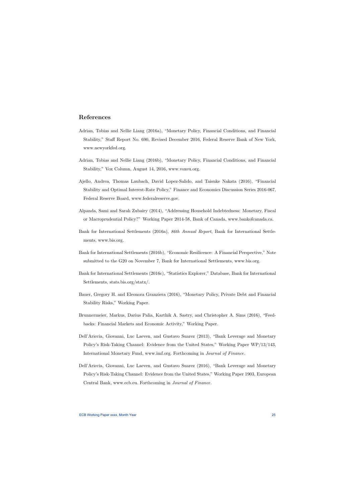# References

- Adrian, Tobias and Nellie Liang (2016a), "Monetary Policy, Financial Conditions, and Financial Stability," Staff Report No. 690, Revised December 2016, Federal Reserve Bank of New York, www.newyorkfed.org.
- Adrian, Tobias and Nellie Liang (2016b), "Monetary Policy, Financial Conditions, and Financial Stability," Vox Column, August 14, 2016, www.voxeu.org.
- Ajello, Andrea, Thomas Laubach, David Lopez-Salido, and Taisuke Nakata (2016), "Financial Stability and Optimal Interest-Rate Policy," Finance and Economics Discussion Series 2016-067, Federal Reserve Board, www.federalreserve.gov.
- <span id="page-25-0"></span>Alpanda, Sami and Sarah Zubairy (2014), "Addressing Household Indebtedness: Monetary, Fiscal or Macroprudential Policy?" Working Paper 2014-58, Bank of Canada, www.bankofcanada.ca.
- <span id="page-25-1"></span>Bank for International Settlements (2016a), 86th Annual Report, Bank for International Settlements, www.bis.org.
- Bank for International Settlements (2016b), "Economic Resilicence: A Financial Perspective," Note submitted to the G20 on November 7, Bank for International Settlements, www.bis.org.
- Bank for International Settlements (2016c), "Statistics Explorer," Database, Bank for International Settlements, stats.bis.org/statx/.
- <span id="page-25-7"></span>Bauer, Gregory H. and Eleonora Granziera (2016), "Monetary Policy, Private Debt and Financial Stability Risks," Working Paper.
- <span id="page-25-3"></span>Brunnermeier, Markus, Darius Palia, Karthik A. Sastry, and Christopher A. Sims (2016), "Feedbacks: Financial Markets and Economic Activity," Working Paper.
- Dell'Ariccia, Giovanni, Luc Laeven, and Gustavo Suarez (2013), "Bank Leverage and Monetary Policy's Risk-Taking Channel: Evidence from the United States," Working Paper WP/13/143, International Monetary Fund, www.imf.org. Forthcoming in Journal of Finance.
- <span id="page-25-8"></span><span id="page-25-6"></span><span id="page-25-5"></span><span id="page-25-4"></span><span id="page-25-2"></span>Dell'Ariccia, Giovanni, Luc Laeven, and Gustavo Suarez (2016), "Bank Leverage and Monetary Policy's Risk-Taking Channel: Evidence from the United States," Working Paper 1903, European Central Bank, www.ecb.eu. Forthcoming in Journal of Finance.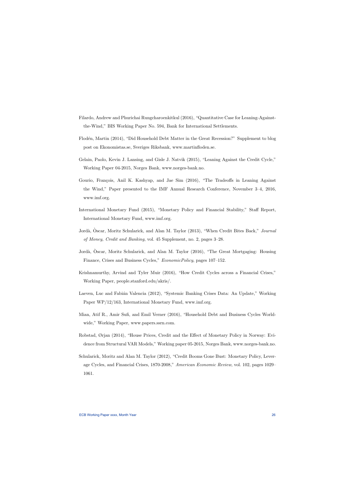- Filardo, Andrew and Phurichai Rungcharoenkitkul (2016), "Quantitative Case for Leaning-Againstthe-Wind," BIS Working Paper No. 594, Bank for International Settlements.
- Flodén, Martin (2014), "Did Household Debt Matter in the Great Recession?" Supplement to blog post on Ekonomistas.se, Sveriges Riksbank, www.martinfloden.se.
- Gelain, Paolo, Kevin J. Lansing, and Gisle J. Natvik (2015), "Leaning Against the Credit Cycle," Working Paper 04-2015, Norges Bank, www.norges-bank.no.
- Gourio, François, Anil K. Kashyap, and Jae Sim (2016), "The Tradeoffs in Leaning Against the Wind," Paper presented to the IMF Annual Research Conference, November 3–4, 2016, www.imf.org.
- <span id="page-26-0"></span>International Monetary Fund (2015), "Monetary Policy and Financial Stability," Staff Report, International Monetary Fund, www.imf.org.
- <span id="page-26-8"></span>Jordà, Oscar, Moritz Schularick, and Alan M. Taylor (2013), "When Credit Bites Back," Journal of Money, Credit and Banking, vol. 45 Supplement, no. 2, pages 3–28.
- Jordà, Oscar, Moritz Schularick, and Alan M. Taylor (2016), "The Great Mortgaging: Housing Finance, Crises and Business Cycles," EconomicPolicy, pages 107–152.
- Krishnamurthy, Arvind and Tyler Muir (2016), "How Credit Cycles across a Financial Crises," Working Paper, people.stanford.edu/akris/.
- <span id="page-26-7"></span>Laeven, Luc and Fabián Valencia (2012), "Systemic Banking Crises Data: An Update," Working Paper WP/12/163, International Monetary Fund, www.imf.org.
- <span id="page-26-1"></span>Mian, Atif R., Amir Sufi, and Emil Verner (2016), "Household Debt and Business Cycles Worldwide," Working Paper, www.papers.ssrn.com.
- <span id="page-26-4"></span>Robstad, Ørjan (2014), "House Prices, Credit and the Effect of Monetary Policy in Norway: Evidence from Structural VAR Models," Working paper 05-2015, Norges Bank, www.norges-bank.no.
- <span id="page-26-9"></span><span id="page-26-6"></span><span id="page-26-5"></span><span id="page-26-3"></span><span id="page-26-2"></span>Schularick, Moritz and Alan M. Taylor (2012), "Credit Booms Gone Bust: Monetary Policy, Leverage Cycles, and Financial Crises, 1870-2008," American Economic Review, vol. 102, pages 1029– 1061.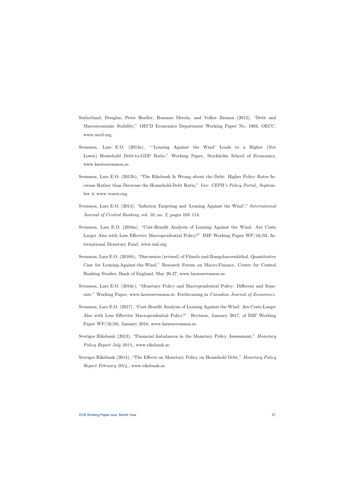- Sutherland, Douglas, Peter Hoeller, Rossana Merola, and Volker Zieman (2012), "Debt and Macroeconomic Stability," OECD Economics Department Working Paper No. 1003, OECC, www.oecd.org.
- Svensson, Lars E.O. (2013a), "'Leaning Against the Wind' Leads to a Higher (Not Lower) Household Debt-to-GDP Ratio," Working Paper, Stockholm School of Economics, www.larseosvensson.se.
- Svensson, Lars E.O. (2013b), "The Riksbank Is Wrong about the Debt: Higher Policy Rates Increase Rather than Decrease the Household-Debt Ratio," Vox: CEPR's Policy Portal,, September 4, www.voxeu.org.
- <span id="page-27-4"></span>Svensson, Lars E.O. (2014), "Inflation Targeting and 'Leaning Against the Wind'," International Journal of Central Banking, vol. 10, no. 2, pages 103–114.
- <span id="page-27-5"></span>Svensson, Lars E.O. (2016a), "Cost-Benefit Analysis of Leaning Against the Wind: Are Costs Larger Also with Less Effective Macroprudential Policy?" IMF Working Paper WP/16/03, International Monetary Fund, www.imf.org.
- <span id="page-27-6"></span>Svensson, Lars E.O. (2016b), "Discussion (revised) of Filardo and Rungcharoenkitkul, Quantitative Case for Leaning-Against-the-Wind," Research Forum on Macro-Finance, Centre for Central Banking Studies, Bank of England, May 26-27, www.larseosvensson.se.
- Svensson, Lars E.O. (2016c), "Monetary Policy and Macroprudential Policy: Different and Separate," Working Paper, www.larseosvensson.se. Forthcoming in Canadian Journal of Economics.
- Svensson, Lars E.O. (2017), "Cost-Benefit Analysis of Leaning Against the Wind: Are Costs Larger Also with Less Effective Macroprudential Policy?" Revision, January 2017, of IMF Working Paper WP/16/03, January 2016, www.larseosvensson.se.
- Sveriges Riksbank (2013), "Financial Imbalances in the Monetary Policy Assessment," Monetary Policy Report July 2013,, www.riksbank.se.
- <span id="page-27-3"></span><span id="page-27-2"></span><span id="page-27-1"></span><span id="page-27-0"></span>Sveriges Riksbank (2014), "The Effects on Monetary Policy on Household Debt," Monetary Policy Report February 2014,, www.riksbank.se.